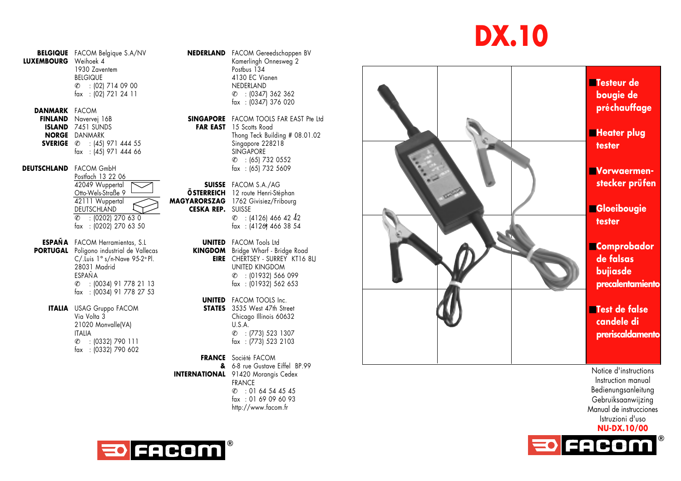## **DX.10**

**BELGIQUE** FACOM Belgique S.A/NV **NEDERLAND** FACOM Gereedschappen BV<br>**LUXEMBOURG** Weihoek 4 1930 Zaventem<br>REIGIQUE  $C = 10217140900$ fax : (02) 721 24 11

**DANMARK** FACOM<br>**FINLAND** Navervei 16B **ISLAND** 7451 SUNDS **SVERIGE**  $\in$  : (45) 971 444 55 Singapore 228218

## **DEUTSCHLAND** FACOM GmbH

Postfach 13 22 06<br>42049 Wuppertal **42049 Wuppertal COMMUNIST SUISSE** FACOM S.A./AG<br> **SUISSE** FACOM S.A./AG<br> **SSTERREICH** 12 route Henri-Sté Otto-Wels-Straße 9 **ÖSTERREICH** 12 route Henri-Stéphan 42111 Wuppertal **MAGYARORSZAG** 1762 Givisiez/Fribourg<br>DEUTSCHLAND **CESKA REP.** SUISSE **DEUTSCHLAND CESKA REP.** SUISSE  $\ell$  : (0202) 270 63 0  $\ell$  : (4126) 466 42 42 fax : (0202) 270 63 50 fax : (4126) 466 38 54

**ESPAÑA** FACOM Herramientas, S.L **UNITED** FACOM Tools Ltd **PORTUGAL** Poligono industrial de Vallecas C/.Luis 1° s/n-Nave 95-2º Pl.<br>28031 Madrid ESPAÑA  $C = 10034$  91 778 21 13 fax : (0034) 91 778 27 53

**ITALIA** USAG Gruppo FACOM<br>Via Volta 3 21020 Monvalle(VA) ITALIA fax : (0332) 790 602 Kamerlingh Onnesweg 2<br>Postbus 134 4130 EC Vianen<br>NEDERLAND  $C = (0347) 362 362$ fax : (0347) 376 020

**SINGAPORE** FACOM TOOLS FAR EAST Pte Ltd<br>**FAR EAST** 15 Scotts Road **NORGE** DANMARK **Thong Teck Building # 08.01.02**<br>**SYERIGE** & : 1451 971 444 55 Singapore 228218 fax : (45) 971 444 66 SINGAPORE  $\ell$  : (65) 732 0552<br>fax : (65) 732 5609

**EIRE** CHERTSEY - SURREY KT16 8LJ UNITED KINGDOM  $C$  : (01932) 566 099<br>fax : (01932) 562 653

**UNITED** FACOM TOOLS Inc.<br>**STATES** 3535 West 47th Street Chicago Illinois 60632<br>U.S.A.  $C$  : (773) 523 1307  $\ell$  : (0332) 790 111 fax : (773) 523 2103

**FRANCE** Société FACOM **&** 6-8 rue Gustave Eiffel BP.99 **INTERNATIONAL** 91420 Moranais Cedex FRANCE  $C = 0164544545$ fax : 01 69 09 60 93<br>http://www.facom.fr fax : (4126) 466 3:<br>FACOM Tools Itd<br>Bridge Wharf - Bridge<br>CHERTSEY - SURREY<br>UNITED KINGDOM<br>UNITED KINGDOM<br>UNITED KINGDOM<br> $\ell$  : (01932) 562 i<br>FACOM TOOLS Inc.<br>U.S.A.<br>U.S.A.<br>U.S.A.<br>C. : (773) 523 131<br>fax : (773) 523 131<br>Soc



Notice d'instructions Instruction manual Bedienungsanleitung Gebruiksaanwijzing Manual de instrucciones Istruzioni d'uso **NU-DX.10/00**